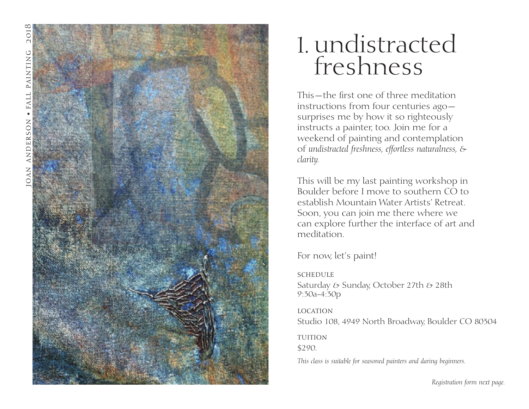

## undistracted 1. freshness

This—the first one of three meditation instructions from four centuries ago surprises me by how it so righteously instructs a painter, too. Join me for a weekend of painting and contemplation of *undistracted freshness, effortless naturalness, & clarity.*

This will be my last painting workshop in Boulder before I move to southern CO to establish Mountain Water Artists' Retreat. Soon, you can join me there where we can explore further the interface of art and meditation.

For now, let's paint!

**SCHEDULE** Saturday & Sunday, October 27th & 28th 9:30a-4:30p

location Studio 108, 4949 North Broadway, Boulder CO 80304

**TUITION** \$290.

*This class is suitable for seasoned painters and daring beginners.*

*Registration form next page.*